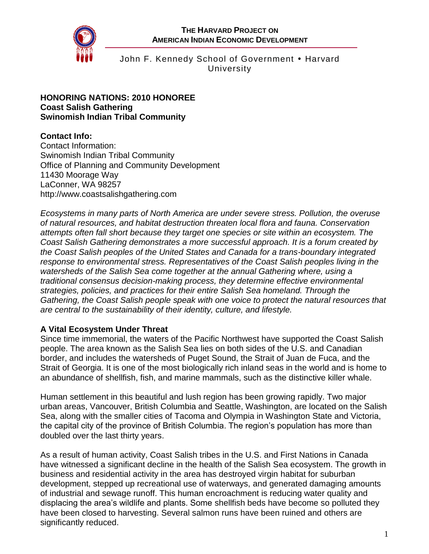

## John F. Kennedy School of Government • Harvard University

#### **HONORING NATIONS: 2010 HONOREE Coast Salish Gathering Swinomish Indian Tribal Community**

# **Contact Info:**

Contact Information: Swinomish Indian Tribal Community Office of Planning and Community Development 11430 Moorage Way LaConner, WA 98257 [http://www.coastsalishgathering.com](http://www.coastsalishgathering.com/)

*Ecosystems in many parts of North America are under severe stress. Pollution, the overuse of natural resources, and habitat destruction threaten local flora and fauna. Conservation attempts often fall short because they target one species or site within an ecosystem. The Coast Salish Gathering demonstrates a more successful approach. It is a forum created by the Coast Salish peoples of the United States and Canada for a trans-boundary integrated response to environmental stress. Representatives of the Coast Salish peoples living in the watersheds of the Salish Sea come together at the annual Gathering where, using a traditional consensus decision-making process, they determine effective environmental strategies, policies, and practices for their entire Salish Sea homeland. Through the Gathering, the Coast Salish people speak with one voice to protect the natural resources that are central to the sustainability of their identity, culture, and lifestyle.*

### **A Vital Ecosystem Under Threat**

Since time immemorial, the waters of the Pacific Northwest have supported the Coast Salish people. The area known as the Salish Sea lies on both sides of the U.S. and Canadian border, and includes the watersheds of Puget Sound, the Strait of Juan de Fuca, and the Strait of Georgia. It is one of the most biologically rich inland seas in the world and is home to an abundance of shellfish, fish, and marine mammals, such as the distinctive killer whale.

Human settlement in this beautiful and lush region has been growing rapidly. Two major urban areas, Vancouver, British Columbia and Seattle, Washington, are located on the Salish Sea, along with the smaller cities of Tacoma and Olympia in Washington State and Victoria, the capital city of the province of British Columbia. The region's population has more than doubled over the last thirty years.

As a result of human activity, Coast Salish tribes in the U.S. and First Nations in Canada have witnessed a significant decline in the health of the Salish Sea ecosystem. The growth in business and residential activity in the area has destroyed virgin habitat for suburban development, stepped up recreational use of waterways, and generated damaging amounts of industrial and sewage runoff. This human encroachment is reducing water quality and displacing the area's wildlife and plants. Some shellfish beds have become so polluted they have been closed to harvesting. Several salmon runs have been ruined and others are significantly reduced.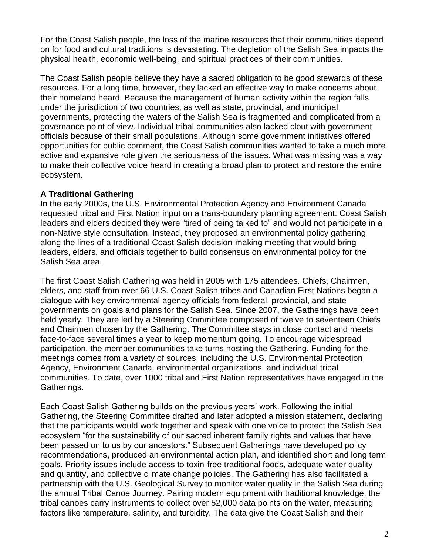For the Coast Salish people, the loss of the marine resources that their communities depend on for food and cultural traditions is devastating. The depletion of the Salish Sea impacts the physical health, economic well-being, and spiritual practices of their communities.

The Coast Salish people believe they have a sacred obligation to be good stewards of these resources. For a long time, however, they lacked an effective way to make concerns about their homeland heard. Because the management of human activity within the region falls under the jurisdiction of two countries, as well as state, provincial, and municipal governments, protecting the waters of the Salish Sea is fragmented and complicated from a governance point of view. Individual tribal communities also lacked clout with government officials because of their small populations. Although some government initiatives offered opportunities for public comment, the Coast Salish communities wanted to take a much more active and expansive role given the seriousness of the issues. What was missing was a way to make their collective voice heard in creating a broad plan to protect and restore the entire ecosystem.

## **A Traditional Gathering**

In the early 2000s, the U.S. Environmental Protection Agency and Environment Canada requested tribal and First Nation input on a trans-boundary planning agreement. Coast Salish leaders and elders decided they were "tired of being talked to" and would not participate in a non-Native style consultation. Instead, they proposed an environmental policy gathering along the lines of a traditional Coast Salish decision-making meeting that would bring leaders, elders, and officials together to build consensus on environmental policy for the Salish Sea area.

The first Coast Salish Gathering was held in 2005 with 175 attendees. Chiefs, Chairmen, elders, and staff from over 66 U.S. Coast Salish tribes and Canadian First Nations began a dialogue with key environmental agency officials from federal, provincial, and state governments on goals and plans for the Salish Sea. Since 2007, the Gatherings have been held yearly. They are led by a Steering Committee composed of twelve to seventeen Chiefs and Chairmen chosen by the Gathering. The Committee stays in close contact and meets face-to-face several times a year to keep momentum going. To encourage widespread participation, the member communities take turns hosting the Gathering. Funding for the meetings comes from a variety of sources, including the U.S. Environmental Protection Agency, Environment Canada, environmental organizations, and individual tribal communities. To date, over 1000 tribal and First Nation representatives have engaged in the Gatherings.

Each Coast Salish Gathering builds on the previous years' work. Following the initial Gathering, the Steering Committee drafted and later adopted a mission statement, declaring that the participants would work together and speak with one voice to protect the Salish Sea ecosystem "for the sustainability of our sacred inherent family rights and values that have been passed on to us by our ancestors." Subsequent Gatherings have developed policy recommendations, produced an environmental action plan, and identified short and long term goals. Priority issues include access to toxin-free traditional foods, adequate water quality and quantity, and collective climate change policies. The Gathering has also facilitated a partnership with the U.S. Geological Survey to monitor water quality in the Salish Sea during the annual Tribal Canoe Journey. Pairing modern equipment with traditional knowledge, the tribal canoes carry instruments to collect over 52,000 data points on the water, measuring factors like temperature, salinity, and turbidity. The data give the Coast Salish and their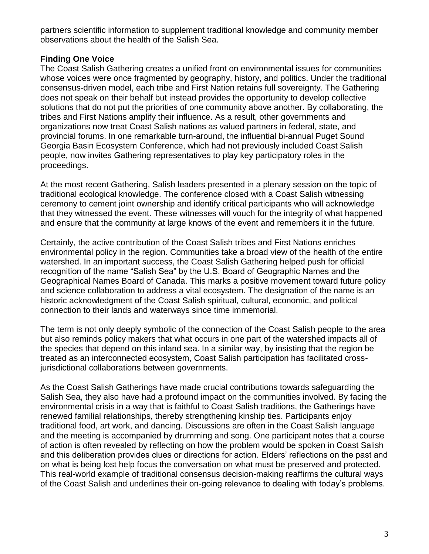partners scientific information to supplement traditional knowledge and community member observations about the health of the Salish Sea.

## **Finding One Voice**

The Coast Salish Gathering creates a unified front on environmental issues for communities whose voices were once fragmented by geography, history, and politics. Under the traditional consensus-driven model, each tribe and First Nation retains full sovereignty. The Gathering does not speak on their behalf but instead provides the opportunity to develop collective solutions that do not put the priorities of one community above another. By collaborating, the tribes and First Nations amplify their influence. As a result, other governments and organizations now treat Coast Salish nations as valued partners in federal, state, and provincial forums. In one remarkable turn-around, the influential bi-annual Puget Sound Georgia Basin Ecosystem Conference, which had not previously included Coast Salish people, now invites Gathering representatives to play key participatory roles in the proceedings.

At the most recent Gathering, Salish leaders presented in a plenary session on the topic of traditional ecological knowledge. The conference closed with a Coast Salish witnessing ceremony to cement joint ownership and identify critical participants who will acknowledge that they witnessed the event. These witnesses will vouch for the integrity of what happened and ensure that the community at large knows of the event and remembers it in the future.

Certainly, the active contribution of the Coast Salish tribes and First Nations enriches environmental policy in the region. Communities take a broad view of the health of the entire watershed. In an important success, the Coast Salish Gathering helped push for official recognition of the name "Salish Sea" by the U.S. Board of Geographic Names and the Geographical Names Board of Canada. This marks a positive movement toward future policy and science collaboration to address a vital ecosystem. The designation of the name is an historic acknowledgment of the Coast Salish spiritual, cultural, economic, and political connection to their lands and waterways since time immemorial.

The term is not only deeply symbolic of the connection of the Coast Salish people to the area but also reminds policy makers that what occurs in one part of the watershed impacts all of the species that depend on this inland sea. In a similar way, by insisting that the region be treated as an interconnected ecosystem, Coast Salish participation has facilitated crossjurisdictional collaborations between governments.

As the Coast Salish Gatherings have made crucial contributions towards safeguarding the Salish Sea, they also have had a profound impact on the communities involved. By facing the environmental crisis in a way that is faithful to Coast Salish traditions, the Gatherings have renewed familial relationships, thereby strengthening kinship ties. Participants enjoy traditional food, art work, and dancing. Discussions are often in the Coast Salish language and the meeting is accompanied by drumming and song. One participant notes that a course of action is often revealed by reflecting on how the problem would be spoken in Coast Salish and this deliberation provides clues or directions for action. Elders' reflections on the past and on what is being lost help focus the conversation on what must be preserved and protected. This real-world example of traditional consensus decision-making reaffirms the cultural ways of the Coast Salish and underlines their on-going relevance to dealing with today's problems.